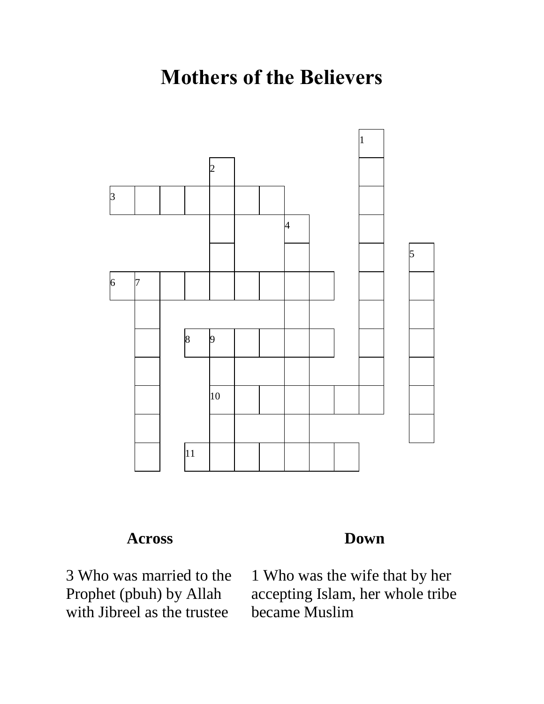## **Mothers of the Believers**



## **Across**

 Who was married to the Prophet (pbuh) by Allah with Jibreel as the trustee

## **Down**

 Who was the wife that by her accepting Islam, her whole tribe became Muslim